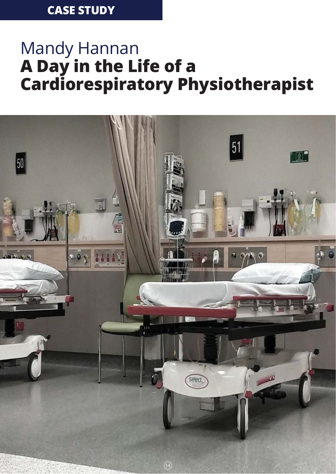# **CASE STUDY**

# Mandy Hannan **A Day in the Life of a Cardiorespiratory Physiotherapist**

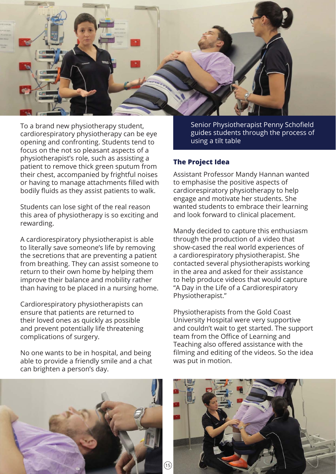

To a brand new physiotherapy student, cardiorespiratory physiotherapy can be eye opening and confronting. Students tend to focus on the not so pleasant aspects of a physiotherapist's role, such as assisting a patient to remove thick green sputum from their chest, accompanied by frightful noises or having to manage attachments filled with bodily fluids as they assist patients to walk.

Students can lose sight of the real reason this area of physiotherapy is so exciting and rewarding.

A cardiorespiratory physiotherapist is able to literally save someone's life by removing the secretions that are preventing a patient from breathing. They can assist someone to return to their own home by helping them improve their balance and mobility rather than having to be placed in a nursing home.

Cardiorespiratory physiotherapists can ensure that patients are returned to their loved ones as quickly as possible and prevent potentially life threatening complications of surgery.

No one wants to be in hospital, and being able to provide a friendly smile and a chat can brighten a person's day.

Senior Physiotherapist Penny Schofield guides students through the process of using a tilt table

#### **The Project Idea**

Assistant Professor Mandy Hannan wanted to emphasise the positive aspects of cardiorespiratory physiotherapy to help engage and motivate her students. She wanted students to embrace their learning and look forward to clinical placement.

Mandy decided to capture this enthusiasm through the production of a video that show-cased the real world experiences of a cardiorespiratory physiotherapist. She contacted several physiotherapists working in the area and asked for their assistance to help produce videos that would capture "A Day in the Life of a Cardiorespiratory Physiotherapist."

Physiotherapists from the Gold Coast University Hospital were very supportive and couldn't wait to get started. The support team from the Office of Learning and Teaching also offered assistance with the filming and editing of the videos. So the idea was put in motion.



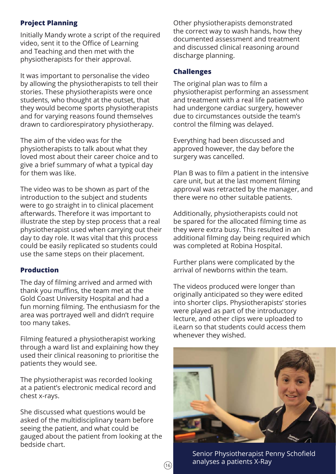# **Project Planning**

Initially Mandy wrote a script of the required video, sent it to the Office of Learning and Teaching and then met with the physiotherapists for their approval.

It was important to personalise the video by allowing the physiotherapists to tell their stories. These physiotherapists were once students, who thought at the outset, that they would become sports physiotherapists and for varying reasons found themselves drawn to cardiorespiratory physiotherapy.

The aim of the video was for the physiotherapists to talk about what they loved most about their career choice and to give a brief summary of what a typical day for them was like.

The video was to be shown as part of the introduction to the subject and students were to go straight in to clinical placement afterwards. Therefore it was important to illustrate the step by step process that a real physiotherapist used when carrying out their day to day role. It was vital that this process could be easily replicated so students could use the same steps on their placement.

## **Production**

The day of filming arrived and armed with thank you muffins, the team met at the Gold Coast University Hospital and had a fun morning filming. The enthusiasm for the area was portrayed well and didn't require too many takes.

Filming featured a physiotherapist working through a ward list and explaining how they used their clinical reasoning to prioritise the patients they would see.

The physiotherapist was recorded looking at a patient's electronic medical record and chest x-rays.

She discussed what questions would be asked of the multidisciplinary team before seeing the patient, and what could be gauged about the patient from looking at the bedside chart.

Other physiotherapists demonstrated the correct way to wash hands, how they documented assessment and treatment and discussed clinical reasoning around discharge planning.

### **Challenges**

The original plan was to film a physiotherapist performing an assessment and treatment with a real life patient who had undergone cardiac surgery, however due to circumstances outside the team's control the filming was delayed.

Everything had been discussed and approved however, the day before the surgery was cancelled.

Plan B was to film a patient in the intensive care unit, but at the last moment filming approval was retracted by the manager, and there were no other suitable patients.

Additionally, physiotherapists could not be spared for the allocated filming time as they were extra busy. This resulted in an additional filming day being required which was completed at Robina Hospital.

Further plans were complicated by the arrival of newborns within the team.

The videos produced were longer than originally anticipated so they were edited into shorter clips. Physiotherapists' stories were played as part of the introductory lecture, and other clips were uploaded to iLearn so that students could access them whenever they wished.



Senior Physiotherapist Penny Schofield  $\overline{16}$  analyses a patients X-Ray